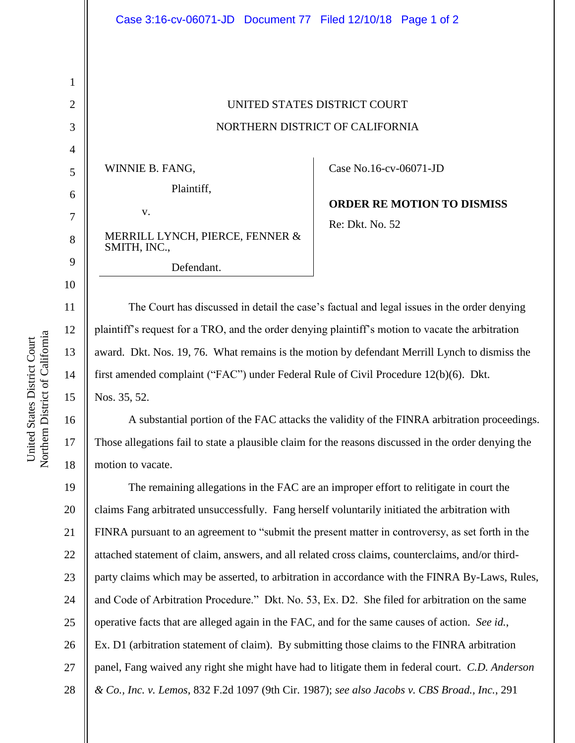| Case 3:16-cv-06071-JD  Document 77  Filed 12/10/18  Page 1 of 2                                      |                                   |
|------------------------------------------------------------------------------------------------------|-----------------------------------|
|                                                                                                      |                                   |
|                                                                                                      |                                   |
|                                                                                                      |                                   |
| UNITED STATES DISTRICT COURT                                                                         |                                   |
| NORTHERN DISTRICT OF CALIFORNIA                                                                      |                                   |
|                                                                                                      |                                   |
| WINNIE B. FANG,                                                                                      | Case No.16-cv-06071-JD            |
| Plaintiff,                                                                                           |                                   |
| V.                                                                                                   | <b>ORDER RE MOTION TO DISMISS</b> |
| MERRILL LYNCH, PIERCE, FENNER &                                                                      | Re: Dkt. No. 52                   |
| SMITH, INC.,                                                                                         |                                   |
| Defendant.                                                                                           |                                   |
|                                                                                                      |                                   |
| The Court has discussed in detail the case's factual and legal issues in the order denying           |                                   |
| plaintiff's request for a TRO, and the order denying plaintiff's motion to vacate the arbitration    |                                   |
| award. Dkt. Nos. 19, 76. What remains is the motion by defendant Merrill Lynch to dismiss the        |                                   |
| first amended complaint ("FAC") under Federal Rule of Civil Procedure 12(b)(6). Dkt.                 |                                   |
| Nos. 35, 52.                                                                                         |                                   |
| A substantial portion of the FAC attacks the validity of the FINRA arbitration proceedings.          |                                   |
| Those allegations fail to state a plausible claim for the reasons discussed in the order denying the |                                   |

19 20 21 22 23 24 25 26 27 28 The remaining allegations in the FAC are an improper effort to relitigate in court the claims Fang arbitrated unsuccessfully. Fang herself voluntarily initiated the arbitration with FINRA pursuant to an agreement to "submit the present matter in controversy, as set forth in the attached statement of claim, answers, and all related cross claims, counterclaims, and/or thirdparty claims which may be asserted, to arbitration in accordance with the FINRA By-Laws, Rules, and Code of Arbitration Procedure." Dkt. No. 53, Ex. D2. She filed for arbitration on the same operative facts that are alleged again in the FAC, and for the same causes of action. *See id.*, Ex. D1 (arbitration statement of claim). By submitting those claims to the FINRA arbitration panel, Fang waived any right she might have had to litigate them in federal court. *C.D. Anderson & Co., Inc. v. Lemos*, 832 F.2d 1097 (9th Cir. 1987); *see also Jacobs v. CBS Broad., Inc.*, 291

1

2

3

4

5

6

7

8

9

10

11

12

13

14

15

16

17

18

motion to vacate.